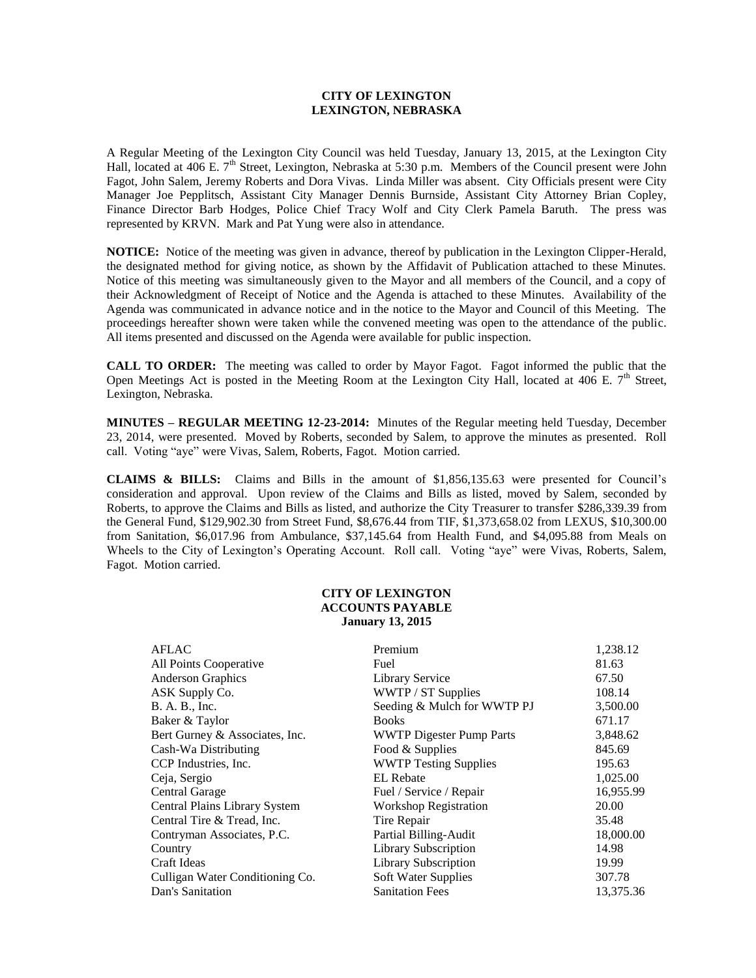## **CITY OF LEXINGTON LEXINGTON, NEBRASKA**

A Regular Meeting of the Lexington City Council was held Tuesday, January 13, 2015, at the Lexington City Hall, located at 406 E. 7<sup>th</sup> Street, Lexington, Nebraska at 5:30 p.m. Members of the Council present were John Fagot, John Salem, Jeremy Roberts and Dora Vivas. Linda Miller was absent. City Officials present were City Manager Joe Pepplitsch, Assistant City Manager Dennis Burnside, Assistant City Attorney Brian Copley, Finance Director Barb Hodges, Police Chief Tracy Wolf and City Clerk Pamela Baruth. The press was represented by KRVN. Mark and Pat Yung were also in attendance.

**NOTICE:** Notice of the meeting was given in advance, thereof by publication in the Lexington Clipper-Herald, the designated method for giving notice, as shown by the Affidavit of Publication attached to these Minutes. Notice of this meeting was simultaneously given to the Mayor and all members of the Council, and a copy of their Acknowledgment of Receipt of Notice and the Agenda is attached to these Minutes. Availability of the Agenda was communicated in advance notice and in the notice to the Mayor and Council of this Meeting. The proceedings hereafter shown were taken while the convened meeting was open to the attendance of the public. All items presented and discussed on the Agenda were available for public inspection.

**CALL TO ORDER:** The meeting was called to order by Mayor Fagot. Fagot informed the public that the Open Meetings Act is posted in the Meeting Room at the Lexington City Hall, located at 406 E.  $7<sup>th</sup>$  Street, Lexington, Nebraska.

**MINUTES – REGULAR MEETING 12-23-2014:** Minutes of the Regular meeting held Tuesday, December 23, 2014, were presented. Moved by Roberts, seconded by Salem, to approve the minutes as presented. Roll call. Voting "aye" were Vivas, Salem, Roberts, Fagot. Motion carried.

**CLAIMS & BILLS:** Claims and Bills in the amount of \$1,856,135.63 were presented for Council's consideration and approval. Upon review of the Claims and Bills as listed, moved by Salem, seconded by Roberts, to approve the Claims and Bills as listed, and authorize the City Treasurer to transfer \$286,339.39 from the General Fund, \$129,902.30 from Street Fund, \$8,676.44 from TIF, \$1,373,658.02 from LEXUS, \$10,300.00 from Sanitation, \$6,017.96 from Ambulance, \$37,145.64 from Health Fund, and \$4,095.88 from Meals on Wheels to the City of Lexington's Operating Account. Roll call. Voting "aye" were Vivas, Roberts, Salem, Fagot. Motion carried.

## **CITY OF LEXINGTON ACCOUNTS PAYABLE January 13, 2015**

| <b>AFLAC</b>                    | Premium                         | 1,238.12  |
|---------------------------------|---------------------------------|-----------|
| All Points Cooperative          | Fuel                            | 81.63     |
| Anderson Graphics               | Library Service                 | 67.50     |
| ASK Supply Co.                  | WWTP / ST Supplies              | 108.14    |
| B. A. B., Inc.                  | Seeding & Mulch for WWTP PJ     | 3,500.00  |
| Baker & Taylor                  | <b>Books</b>                    | 671.17    |
| Bert Gurney & Associates, Inc.  | <b>WWTP Digester Pump Parts</b> | 3,848.62  |
| Cash-Wa Distributing            | Food & Supplies                 | 845.69    |
| CCP Industries, Inc.            | <b>WWTP Testing Supplies</b>    | 195.63    |
| Ceja, Sergio                    | <b>EL</b> Rebate                | 1,025.00  |
| Central Garage                  | Fuel / Service / Repair         | 16,955.99 |
| Central Plains Library System   | <b>Workshop Registration</b>    | 20.00     |
| Central Tire & Tread, Inc.      | Tire Repair                     | 35.48     |
| Contryman Associates, P.C.      | Partial Billing-Audit           | 18,000.00 |
| Country                         | <b>Library Subscription</b>     | 14.98     |
| Craft Ideas                     | <b>Library Subscription</b>     | 19.99     |
| Culligan Water Conditioning Co. | Soft Water Supplies             | 307.78    |
| Dan's Sanitation                | <b>Sanitation Fees</b>          | 13,375.36 |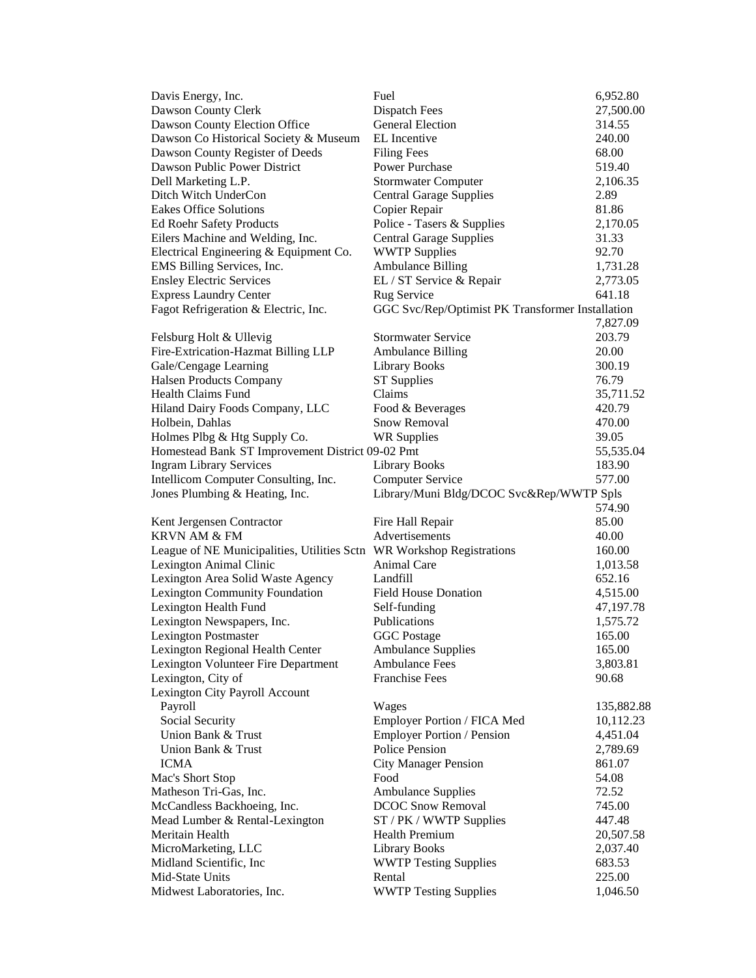| Davis Energy, Inc.                                                    | Fuel                                             | 6,952.80   |
|-----------------------------------------------------------------------|--------------------------------------------------|------------|
| Dawson County Clerk                                                   | Dispatch Fees                                    | 27,500.00  |
| Dawson County Election Office                                         | <b>General Election</b>                          | 314.55     |
| Dawson Co Historical Society & Museum                                 | EL Incentive                                     | 240.00     |
| Dawson County Register of Deeds                                       | <b>Filing Fees</b>                               | 68.00      |
| Dawson Public Power District                                          | <b>Power Purchase</b>                            | 519.40     |
| Dell Marketing L.P.                                                   | <b>Stormwater Computer</b>                       | 2,106.35   |
| Ditch Witch UnderCon                                                  | <b>Central Garage Supplies</b>                   | 2.89       |
| <b>Eakes Office Solutions</b>                                         | Copier Repair                                    | 81.86      |
| <b>Ed Roehr Safety Products</b>                                       | Police - Tasers & Supplies                       | 2,170.05   |
| Eilers Machine and Welding, Inc.                                      | <b>Central Garage Supplies</b>                   | 31.33      |
| Electrical Engineering & Equipment Co.                                | <b>WWTP Supplies</b>                             | 92.70      |
| EMS Billing Services, Inc.                                            | <b>Ambulance Billing</b>                         | 1,731.28   |
| <b>Ensley Electric Services</b>                                       | EL / ST Service & Repair                         | 2,773.05   |
| <b>Express Laundry Center</b>                                         | Rug Service                                      | 641.18     |
| Fagot Refrigeration & Electric, Inc.                                  | GGC Svc/Rep/Optimist PK Transformer Installation |            |
|                                                                       |                                                  | 7,827.09   |
| Felsburg Holt & Ullevig                                               | <b>Stormwater Service</b>                        | 203.79     |
| Fire-Extrication-Hazmat Billing LLP                                   | <b>Ambulance Billing</b>                         | 20.00      |
| Gale/Cengage Learning                                                 | <b>Library Books</b>                             | 300.19     |
| <b>Halsen Products Company</b>                                        | <b>ST Supplies</b>                               | 76.79      |
| Health Claims Fund                                                    | Claims                                           | 35,711.52  |
| Hiland Dairy Foods Company, LLC                                       | Food & Beverages                                 | 420.79     |
| Holbein, Dahlas                                                       | Snow Removal                                     | 470.00     |
| Holmes Plbg & Htg Supply Co.                                          | <b>WR Supplies</b>                               | 39.05      |
| Homestead Bank ST Improvement District 09-02 Pmt                      |                                                  | 55,535.04  |
| <b>Ingram Library Services</b>                                        | <b>Library Books</b>                             | 183.90     |
| Intellicom Computer Consulting, Inc.                                  | <b>Computer Service</b>                          | 577.00     |
| Jones Plumbing & Heating, Inc.                                        | Library/Muni Bldg/DCOC Svc&Rep/WWTP Spls         |            |
|                                                                       |                                                  | 574.90     |
| Kent Jergensen Contractor                                             | Fire Hall Repair                                 | 85.00      |
| <b>KRVN AM &amp; FM</b>                                               | Advertisements                                   | 40.00      |
| League of NE Municipalities, Utilities Sctn WR Workshop Registrations |                                                  | 160.00     |
| Lexington Animal Clinic                                               | Animal Care                                      | 1,013.58   |
| Lexington Area Solid Waste Agency                                     | Landfill                                         | 652.16     |
| <b>Lexington Community Foundation</b>                                 | <b>Field House Donation</b>                      | 4,515.00   |
| Lexington Health Fund                                                 | Self-funding                                     | 47,197.78  |
| Lexington Newspapers, Inc.                                            | Publications                                     | 1,575.72   |
| <b>Lexington Postmaster</b>                                           | <b>GGC</b> Postage                               | 165.00     |
| Lexington Regional Health Center                                      | <b>Ambulance Supplies</b>                        | 165.00     |
| Lexington Volunteer Fire Department                                   | <b>Ambulance Fees</b>                            | 3,803.81   |
| Lexington, City of                                                    | <b>Franchise Fees</b>                            | 90.68      |
| Lexington City Payroll Account                                        |                                                  |            |
| Payroll                                                               | Wages                                            | 135,882.88 |
| Social Security                                                       | Employer Portion / FICA Med                      | 10,112.23  |
| Union Bank & Trust                                                    | <b>Employer Portion / Pension</b>                | 4,451.04   |
| Union Bank & Trust                                                    | Police Pension                                   | 2,789.69   |
| <b>ICMA</b>                                                           | <b>City Manager Pension</b>                      | 861.07     |
| Mac's Short Stop                                                      | Food                                             | 54.08      |
| Matheson Tri-Gas, Inc.                                                | <b>Ambulance Supplies</b>                        | 72.52      |
| McCandless Backhoeing, Inc.                                           | <b>DCOC Snow Removal</b>                         | 745.00     |
| Mead Lumber & Rental-Lexington                                        | ST / PK / WWTP Supplies                          | 447.48     |
| Meritain Health                                                       | Health Premium                                   | 20,507.58  |
| MicroMarketing, LLC                                                   | <b>Library Books</b>                             | 2,037.40   |
| Midland Scientific, Inc                                               | <b>WWTP Testing Supplies</b>                     | 683.53     |
| Mid-State Units                                                       | Rental                                           | 225.00     |
| Midwest Laboratories, Inc.                                            | <b>WWTP Testing Supplies</b>                     | 1,046.50   |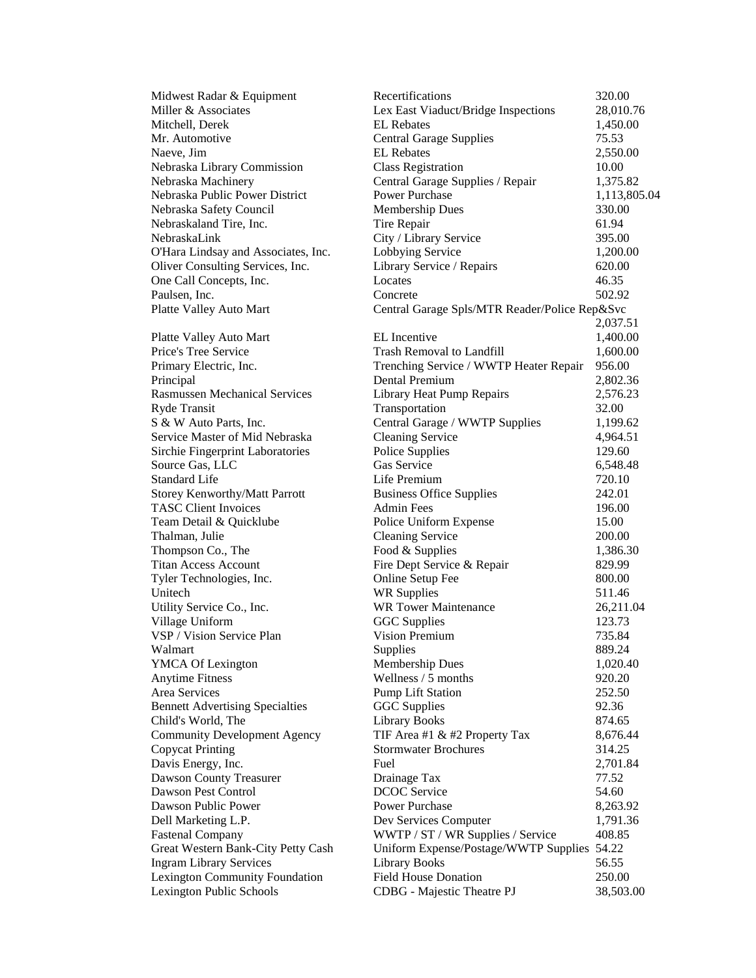| Midwest Radar & Equipment              | Recertifications                              | 320.00       |
|----------------------------------------|-----------------------------------------------|--------------|
| Miller & Associates                    | Lex East Viaduct/Bridge Inspections           | 28,010.76    |
| Mitchell, Derek                        | <b>EL</b> Rebates                             | 1,450.00     |
| Mr. Automotive                         | <b>Central Garage Supplies</b>                | 75.53        |
| Naeve, Jim                             | <b>EL</b> Rebates                             | 2,550.00     |
| Nebraska Library Commission            | <b>Class Registration</b>                     | 10.00        |
| Nebraska Machinery                     | Central Garage Supplies / Repair              | 1,375.82     |
| Nebraska Public Power District         | <b>Power Purchase</b>                         | 1,113,805.04 |
| Nebraska Safety Council                | Membership Dues                               | 330.00       |
| Nebraskaland Tire, Inc.                | Tire Repair                                   | 61.94        |
| NebraskaLink                           | City / Library Service                        | 395.00       |
| O'Hara Lindsay and Associates, Inc.    | Lobbying Service                              | 1,200.00     |
| Oliver Consulting Services, Inc.       | Library Service / Repairs                     | 620.00       |
| One Call Concepts, Inc.                | Locates                                       | 46.35        |
| Paulsen, Inc.                          | Concrete                                      | 502.92       |
| Platte Valley Auto Mart                | Central Garage Spls/MTR Reader/Police Rep&Svc |              |
|                                        |                                               | 2,037.51     |
| Platte Valley Auto Mart                | EL Incentive                                  | 1,400.00     |
| Price's Tree Service                   | <b>Trash Removal to Landfill</b>              | 1,600.00     |
| Primary Electric, Inc.                 | Trenching Service / WWTP Heater Repair        | 956.00       |
| Principal                              | Dental Premium                                | 2,802.36     |
| <b>Rasmussen Mechanical Services</b>   | Library Heat Pump Repairs                     | 2,576.23     |
| Ryde Transit                           | Transportation                                | 32.00        |
| S & W Auto Parts, Inc.                 | Central Garage / WWTP Supplies                | 1,199.62     |
| Service Master of Mid Nebraska         | <b>Cleaning Service</b>                       | 4,964.51     |
| Sirchie Fingerprint Laboratories       | Police Supplies                               | 129.60       |
| Source Gas, LLC                        | Gas Service                                   | 6,548.48     |
| <b>Standard Life</b>                   | Life Premium                                  | 720.10       |
| <b>Storey Kenworthy/Matt Parrott</b>   | <b>Business Office Supplies</b>               | 242.01       |
| <b>TASC Client Invoices</b>            | <b>Admin Fees</b>                             | 196.00       |
| Team Detail & Quicklube                | Police Uniform Expense                        | 15.00        |
| Thalman, Julie                         | <b>Cleaning Service</b>                       | 200.00       |
| Thompson Co., The                      | Food & Supplies                               | 1,386.30     |
| <b>Titan Access Account</b>            | Fire Dept Service & Repair                    | 829.99       |
| Tyler Technologies, Inc.               | Online Setup Fee                              | 800.00       |
| Unitech                                | <b>WR Supplies</b>                            | 511.46       |
| Utility Service Co., Inc.              | <b>WR Tower Maintenance</b>                   | 26,211.04    |
| Village Uniform                        | <b>GGC</b> Supplies                           | 123.73       |
| VSP / Vision Service Plan              | <b>Vision Premium</b>                         | 735.84       |
| Walmart                                | Supplies                                      | 889.24       |
| <b>YMCA Of Lexington</b>               | <b>Membership Dues</b>                        | 1,020.40     |
| <b>Anytime Fitness</b>                 | Wellness / 5 months                           | 920.20       |
| Area Services                          | <b>Pump Lift Station</b>                      | 252.50       |
| <b>Bennett Advertising Specialties</b> | <b>GGC</b> Supplies                           | 92.36        |
| Child's World, The                     | <b>Library Books</b>                          | 874.65       |
| <b>Community Development Agency</b>    | TIF Area #1 & #2 Property Tax                 | 8,676.44     |
| <b>Copycat Printing</b>                | <b>Stormwater Brochures</b>                   | 314.25       |
| Davis Energy, Inc.                     | Fuel                                          | 2,701.84     |
| Dawson County Treasurer                | Drainage Tax                                  | 77.52        |
| Dawson Pest Control                    | <b>DCOC</b> Service                           | 54.60        |
| Dawson Public Power                    | <b>Power Purchase</b>                         | 8,263.92     |
| Dell Marketing L.P.                    | Dev Services Computer                         | 1,791.36     |
| <b>Fastenal Company</b>                | WWTP / ST / WR Supplies / Service             | 408.85       |
| Great Western Bank-City Petty Cash     | Uniform Expense/Postage/WWTP Supplies         | 54.22        |
| <b>Ingram Library Services</b>         | <b>Library Books</b>                          | 56.55        |
| Lexington Community Foundation         | <b>Field House Donation</b>                   | 250.00       |
| Lexington Public Schools               | CDBG - Majestic Theatre PJ                    | 38,503.00    |
|                                        |                                               |              |